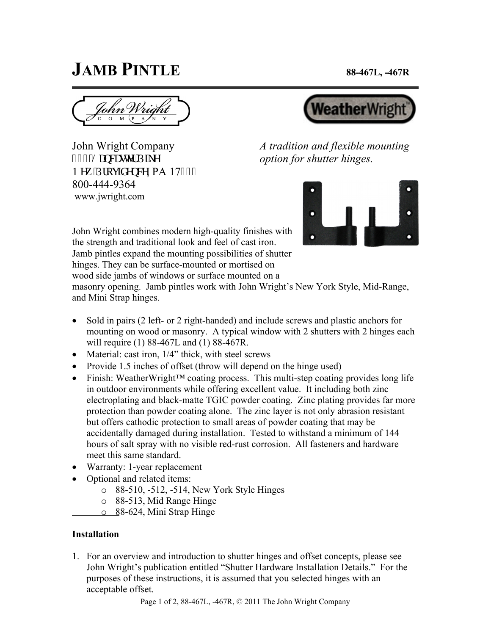## **JAMB PINTLE** 88-467L, -467R

John Wright Company 867'Nepecuvgt'Rkng P gy 'Rtqxkf gpeg, PA 17782 800-444-9364 www.jwright.com



*A tradition and flexible mounting option for shutter hinges.* 



John Wright combines modern high-quality finishes with the strength and traditional look and feel of cast iron. Jamb pintles expand the mounting possibilities of shutter hinges. They can be surface-mounted or mortised on

wood side jambs of windows or surface mounted on a

masonry opening. Jamb pintles work with John Wright's New York Style, Mid-Range, and Mini Strap hinges.

- Sold in pairs (2 left- or 2 right-handed) and include screws and plastic anchors for mounting on wood or masonry. A typical window with 2 shutters with 2 hinges each will require (1) 88-467L and (1) 88-467R.
- Material: cast iron,  $1/4$ " thick, with steel screws
- Provide 1.5 inches of offset (throw will depend on the hinge used)
- Finish: WeatherWright<sup>TM</sup> coating process. This multi-step coating provides long life in outdoor environments while offering excellent value. It including both zinc electroplating and black-matte TGIC powder coating. Zinc plating provides far more protection than powder coating alone. The zinc layer is not only abrasion resistant but offers cathodic protection to small areas of powder coating that may be accidentally damaged during installation. Tested to withstand a minimum of 144 hours of salt spray with no visible red-rust corrosion. All fasteners and hardware meet this same standard.
- Warranty: 1-year replacement
- Optional and related items:
	- o 88-510, -512, -514, New York Style Hinges
	- o 88-513, Mid Range Hinge
	- o 88-624, Mini Strap Hinge

## **Installation**

1. For an overview and introduction to shutter hinges and offset concepts, please see John Wright's publication entitled "Shutter Hardware Installation Details." For the purposes of these instructions, it is assumed that you selected hinges with an acceptable offset.